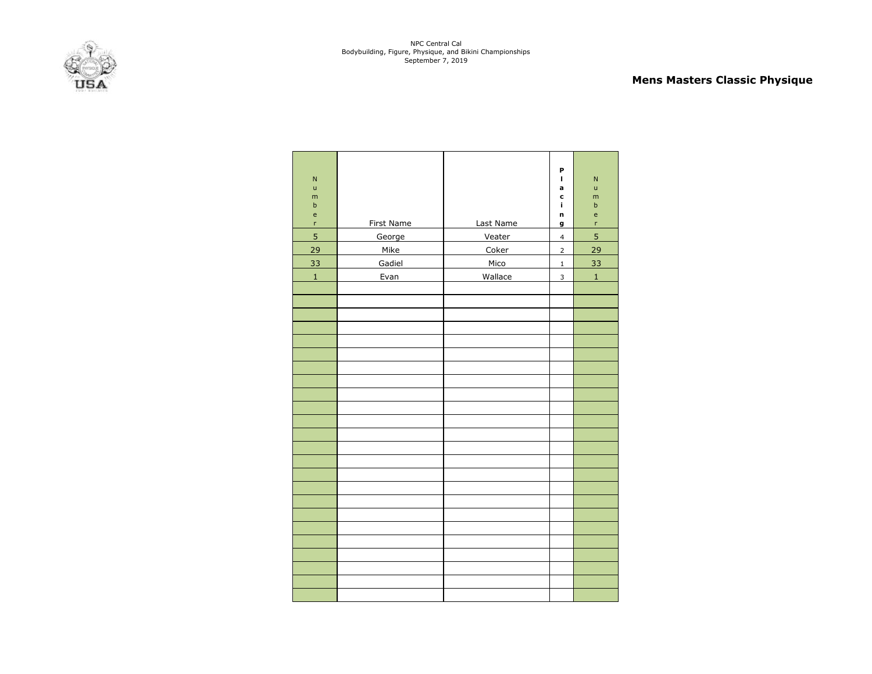

# **Mens Masters Classic Physique**

| N<br>ū<br>m<br>$\sf b$<br>e<br>$\mathsf{r}$<br>$\overline{5}$<br>29<br>33 | First Name<br>George<br>Mike<br>Gadiel | Last Name<br>Veater<br>Coker<br>Mico | P<br>I<br>a<br>c<br>Ĩ.<br>n<br>g<br>$\overline{\mathbf{4}}$<br>$\overline{2}$<br>$\mathbf 1$ | $\mathsf{N}$<br>ū<br>m<br>b<br>e<br>r<br>5<br>29<br>33 |
|---------------------------------------------------------------------------|----------------------------------------|--------------------------------------|----------------------------------------------------------------------------------------------|--------------------------------------------------------|
| $\mathbf{1}$                                                              | Evan                                   | Wallace                              | 3                                                                                            | $\mathbf 1$                                            |
|                                                                           |                                        |                                      |                                                                                              |                                                        |
|                                                                           |                                        |                                      |                                                                                              |                                                        |
|                                                                           |                                        |                                      |                                                                                              |                                                        |
|                                                                           |                                        |                                      |                                                                                              |                                                        |
|                                                                           |                                        |                                      |                                                                                              |                                                        |
|                                                                           |                                        |                                      |                                                                                              |                                                        |
|                                                                           |                                        |                                      |                                                                                              |                                                        |
|                                                                           |                                        |                                      |                                                                                              |                                                        |
|                                                                           |                                        |                                      |                                                                                              |                                                        |
|                                                                           |                                        |                                      |                                                                                              |                                                        |
|                                                                           |                                        |                                      |                                                                                              |                                                        |
|                                                                           |                                        |                                      |                                                                                              |                                                        |
|                                                                           |                                        |                                      |                                                                                              |                                                        |
|                                                                           |                                        |                                      |                                                                                              |                                                        |
|                                                                           |                                        |                                      |                                                                                              |                                                        |
|                                                                           |                                        |                                      |                                                                                              |                                                        |
|                                                                           |                                        |                                      |                                                                                              |                                                        |
|                                                                           |                                        |                                      |                                                                                              |                                                        |
|                                                                           |                                        |                                      |                                                                                              |                                                        |
|                                                                           |                                        |                                      |                                                                                              |                                                        |
|                                                                           |                                        |                                      |                                                                                              |                                                        |
|                                                                           |                                        |                                      |                                                                                              |                                                        |
|                                                                           |                                        |                                      |                                                                                              |                                                        |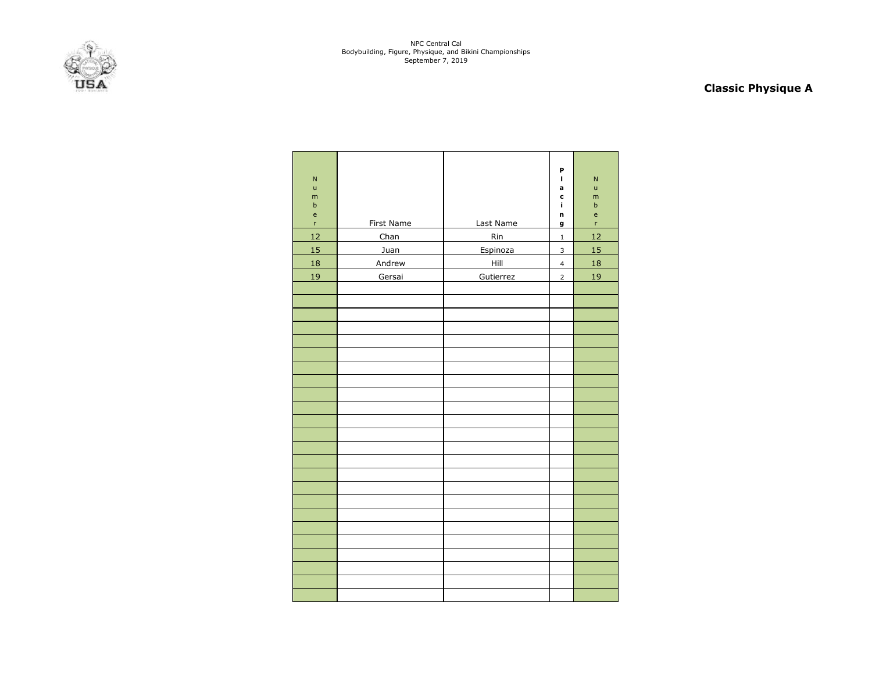

# **Classic Physique A**

| $\overline{N}$<br>$\mathsf{u}$<br>m<br>$\mathsf b$<br>$\mathsf{e}% _{0}\left( \mathsf{e}_{0}\right)$<br>'n | <b>First Name</b> | Last Name        | P<br>$\blacksquare$<br>a<br>c<br>ĩ.<br>n<br>g | $\mathsf{N}$<br>ū<br>m<br>b<br>e<br>'n |
|------------------------------------------------------------------------------------------------------------|-------------------|------------------|-----------------------------------------------|----------------------------------------|
| 12                                                                                                         |                   |                  |                                               | 12                                     |
| 15                                                                                                         | Chan<br>Juan      | <b>Rin</b>       | $\mathbf 1$<br>$\mathsf 3$                    | 15                                     |
| 18                                                                                                         | Andrew            | Espinoza<br>Hill | $\overline{\mathbf{4}}$                       | 18                                     |
|                                                                                                            |                   |                  |                                               |                                        |
| 19                                                                                                         | Gersai            | Gutierrez        | $\overline{2}$                                | 19                                     |
|                                                                                                            |                   |                  |                                               |                                        |
|                                                                                                            |                   |                  |                                               |                                        |
|                                                                                                            |                   |                  |                                               |                                        |
|                                                                                                            |                   |                  |                                               |                                        |
|                                                                                                            |                   |                  |                                               |                                        |
|                                                                                                            |                   |                  |                                               |                                        |
|                                                                                                            |                   |                  |                                               |                                        |
|                                                                                                            |                   |                  |                                               |                                        |
|                                                                                                            |                   |                  |                                               |                                        |
|                                                                                                            |                   |                  |                                               |                                        |
|                                                                                                            |                   |                  |                                               |                                        |
|                                                                                                            |                   |                  |                                               |                                        |
|                                                                                                            |                   |                  |                                               |                                        |
|                                                                                                            |                   |                  |                                               |                                        |
|                                                                                                            |                   |                  |                                               |                                        |
|                                                                                                            |                   |                  |                                               |                                        |
|                                                                                                            |                   |                  |                                               |                                        |
|                                                                                                            |                   |                  |                                               |                                        |
|                                                                                                            |                   |                  |                                               |                                        |
|                                                                                                            |                   |                  |                                               |                                        |
|                                                                                                            |                   |                  |                                               |                                        |
|                                                                                                            |                   |                  |                                               |                                        |
|                                                                                                            |                   |                  |                                               |                                        |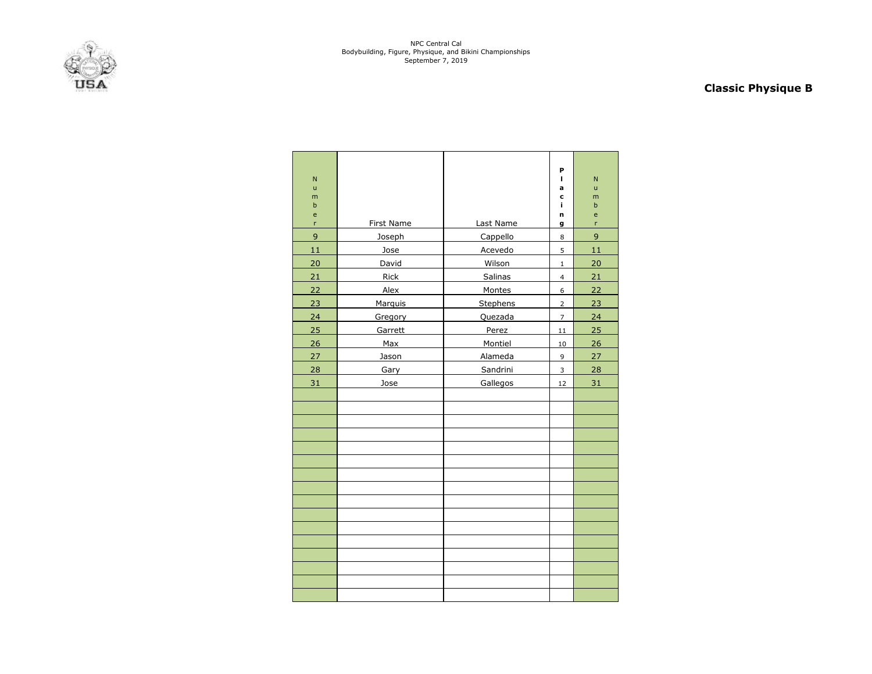

# **Classic Physique B**

|    |                   |            |                | P              |        |
|----|-------------------|------------|----------------|----------------|--------|
|    | N                 |            |                | т              | N      |
|    | $\mathsf{u}$<br>m |            |                | a<br>c         | ū<br>m |
|    | $\mathsf b$       |            |                | Ĩ.             | b      |
|    | e<br>'n           | First Name | Last Name      | n<br>g         | e<br>r |
|    | 9                 | Joseph     | Cappello       | 8              | 9      |
|    | 11                | Jose       | Acevedo        | 5              | 11     |
|    | 20                | David      | Wilson         | $\mathbf{1}$   | 20     |
|    | 21                | Rick       | Salinas        | 4              | 21     |
| 22 |                   | Alex       | Montes         | 6              | 22     |
|    | 23                | Marquis    | Stephens       | $\overline{2}$ | 23     |
|    | 24                | Gregory    | Quezada        | $\overline{7}$ | 24     |
| 25 |                   | Garrett    | Perez          | 11             | 25     |
|    | 26                | Max        | Montiel        | 10             | 26     |
|    | 27                | Jason      | <b>Alameda</b> | 9              | 27     |
|    | 28                | Gary       | Sandrini       | 3              | 28     |
|    | 31                | Jose       | Gallegos       | 12             | 31     |
|    |                   |            |                |                |        |
|    |                   |            |                |                |        |
|    |                   |            |                |                |        |
|    |                   |            |                |                |        |
|    |                   |            |                |                |        |
|    |                   |            |                |                |        |
|    |                   |            |                |                |        |
|    |                   |            |                |                |        |
|    |                   |            |                |                |        |
|    |                   |            |                |                |        |
|    |                   |            |                |                |        |
|    |                   |            |                |                |        |
|    |                   |            |                |                |        |
|    |                   |            |                |                |        |
|    |                   |            |                |                |        |
|    |                   |            |                |                |        |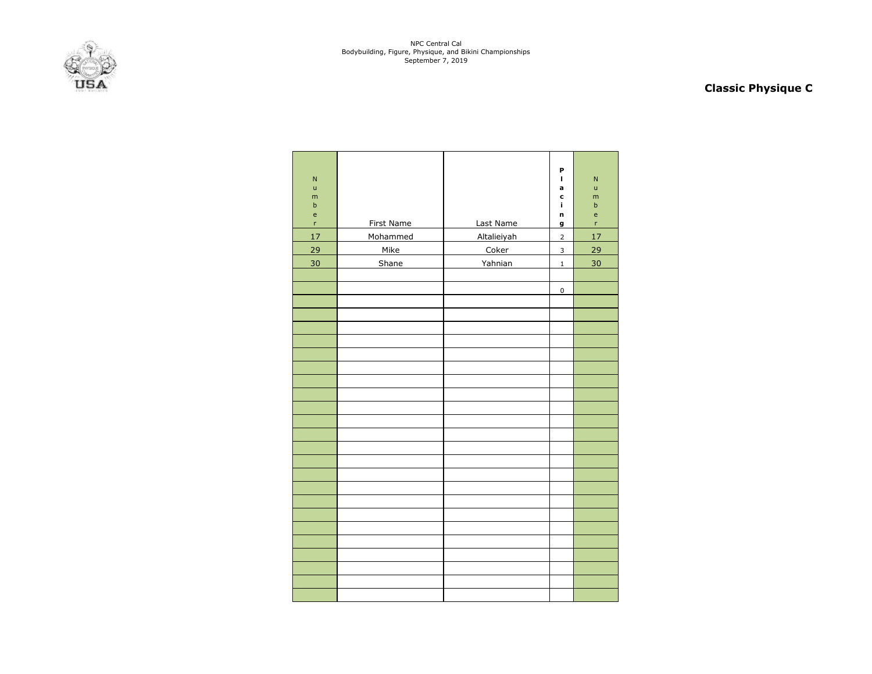

# **Classic Physique C**

| $\overline{N}$<br>$\mathsf{u}$<br>m<br>$\mathsf b$<br>$\mathsf{e}% _{0}\left( \mathsf{e}_{0}\right)$<br>r | First Name | Last Name   | P<br>$\mathbf{I}$<br>a<br>c<br>Ĩ.<br>n<br>g | $\overline{\mathsf{N}}$<br>ū<br>m<br>$\sf b$<br>e<br>'n |
|-----------------------------------------------------------------------------------------------------------|------------|-------------|---------------------------------------------|---------------------------------------------------------|
| 17                                                                                                        | Mohammed   | Altalieiyah | $\overline{2}$                              | $17\,$                                                  |
| 29                                                                                                        | Mike       | Coker       | $\overline{\mathbf{3}}$                     | 29                                                      |
| 30                                                                                                        | Shane      | Yahnian     | $\mathbf 1$                                 | 30                                                      |
|                                                                                                           |            |             |                                             |                                                         |
|                                                                                                           |            |             | 0                                           |                                                         |
|                                                                                                           |            |             |                                             |                                                         |
|                                                                                                           |            |             |                                             |                                                         |
|                                                                                                           |            |             |                                             |                                                         |
|                                                                                                           |            |             |                                             |                                                         |
|                                                                                                           |            |             |                                             |                                                         |
|                                                                                                           |            |             |                                             |                                                         |
|                                                                                                           |            |             |                                             |                                                         |
|                                                                                                           |            |             |                                             |                                                         |
|                                                                                                           |            |             |                                             |                                                         |
|                                                                                                           |            |             |                                             |                                                         |
|                                                                                                           |            |             |                                             |                                                         |
|                                                                                                           |            |             |                                             |                                                         |
|                                                                                                           |            |             |                                             |                                                         |
|                                                                                                           |            |             |                                             |                                                         |
|                                                                                                           |            |             |                                             |                                                         |
|                                                                                                           |            |             |                                             |                                                         |
|                                                                                                           |            |             |                                             |                                                         |
|                                                                                                           |            |             |                                             |                                                         |
|                                                                                                           |            |             |                                             |                                                         |
|                                                                                                           |            |             |                                             |                                                         |
|                                                                                                           |            |             |                                             |                                                         |
|                                                                                                           |            |             |                                             |                                                         |
|                                                                                                           |            |             |                                             |                                                         |